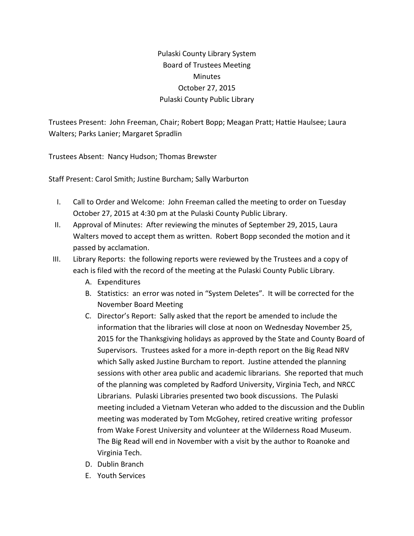## Pulaski County Library System Board of Trustees Meeting **Minutes** October 27, 2015 Pulaski County Public Library

Trustees Present: John Freeman, Chair; Robert Bopp; Meagan Pratt; Hattie Haulsee; Laura Walters; Parks Lanier; Margaret Spradlin

Trustees Absent: Nancy Hudson; Thomas Brewster

Staff Present: Carol Smith; Justine Burcham; Sally Warburton

- I. Call to Order and Welcome: John Freeman called the meeting to order on Tuesday October 27, 2015 at 4:30 pm at the Pulaski County Public Library.
- II. Approval of Minutes: After reviewing the minutes of September 29, 2015, Laura Walters moved to accept them as written. Robert Bopp seconded the motion and it passed by acclamation.
- III. Library Reports: the following reports were reviewed by the Trustees and a copy of each is filed with the record of the meeting at the Pulaski County Public Library.
	- A. Expenditures
	- B. Statistics: an error was noted in "System Deletes". It will be corrected for the November Board Meeting
	- C. Director's Report: Sally asked that the report be amended to include the information that the libraries will close at noon on Wednesday November 25, 2015 for the Thanksgiving holidays as approved by the State and County Board of Supervisors. Trustees asked for a more in-depth report on the Big Read NRV which Sally asked Justine Burcham to report. Justine attended the planning sessions with other area public and academic librarians. She reported that much of the planning was completed by Radford University, Virginia Tech, and NRCC Librarians. Pulaski Libraries presented two book discussions. The Pulaski meeting included a Vietnam Veteran who added to the discussion and the Dublin meeting was moderated by Tom McGohey, retired creative writing professor from Wake Forest University and volunteer at the Wilderness Road Museum. The Big Read will end in November with a visit by the author to Roanoke and Virginia Tech.
	- D. Dublin Branch
	- E. Youth Services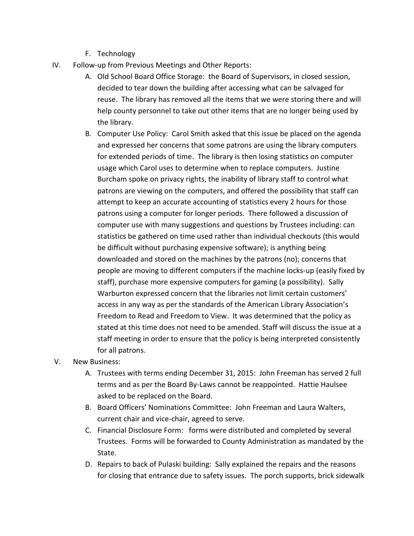- F. Technology
- IV. Follow-up from Previous Meetings and Other Reports:
	- A. Old School Board Office Storage: the Board of Supervisors, in closed session, decided to tear down the building after accessing what can be salvaged for reuse. The library has removed all the items that we were storing there and will help county personnel to take out other items that are no longer being used by the library.
	- B. Computer Use Policy: Carol Smith asked that this issue be placed on the agenda and expressed her concerns that some patrons are using the library computers for extended periods of time. The library is then losing statistics on computer usage which Carol uses to determine when to replace computers. Justine Burcham spoke on privacy rights, the inability of library staff to control what patrons are viewing on the computers, and offered the possibility that staff can attempt to keep an accurate accounting of statistics every 2 hours for those patrons using a computer for longer periods. There followed a discussion of computer use with many suggestions and questions by Trustees including: can statistics be gathered on time used rather than individual checkouts (this would be difficult without purchasing expensive software); is anything being downloaded and stored on the machines by the patrons (no); concerns that people are moving to different computers if the machine locks-up (easily fixed by staff), purchase more expensive computers for gaming (a possibility). Sally Warburton expressed concern that the libraries not limit certain customers' access in any way as per the standards of the American Library Association's Freedom to Read and Freedom to View. It was determined that the policy as stated at this time does not need to be amended. Staff will discuss the issue at a staff meeting in order to ensure that the policy is being interpreted consistently for all patrons.
- V. New Business:
	- A. Trustees with terms ending December 31, 2015: John Freeman has served 2 full terms and as per the Board By-Laws cannot be reappointed. Hattie Haulsee asked to be replaced on the Board.
	- B. Board Officers' Nominations Committee: John Freeman and Laura Walters, current chair and vice-chair, agreed to serve.
	- C. Financial Disclosure Form: forms were distributed and completed by several Trustees. Forms will be forwarded to County Administration as mandated by the State.
	- D. Repairs to back of Pulaski building: Sally explained the repairs and the reasons for closing that entrance due to safety issues. The porch supports, brick sidewalk